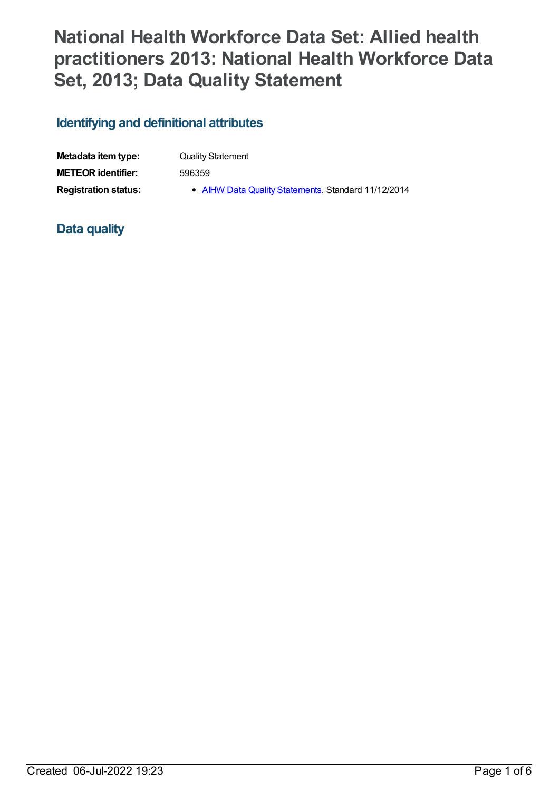# **National Health Workforce Data Set: Allied health practitioners 2013: National Health Workforce Data Set, 2013; Data Quality Statement**

## **Identifying and definitional attributes**

| Metadata item type:         | <b>Quality Statement</b>                            |
|-----------------------------|-----------------------------------------------------|
| <b>METEOR</b> identifier:   | 596359                                              |
| <b>Registration status:</b> | • AIHW Data Quality Statements, Standard 11/12/2014 |

## **Data quality**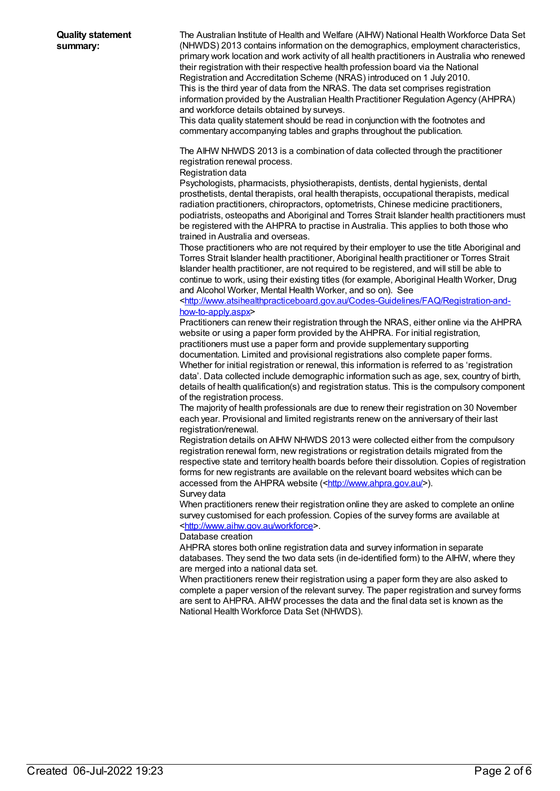The Australian Institute of Health and Welfare (AIHW) National Health Workforce Data Set (NHWDS) 2013 contains information on the demographics, employment characteristics, primary work location and work activity of all health practitioners in Australia who renewed their registration with their respective health profession board via the National Registration and Accreditation Scheme (NRAS) introduced on 1 July 2010. This is the third year of data from the NRAS. The data set comprises registration information provided by the Australian Health Practitioner Regulation Agency (AHPRA) and workforce details obtained by surveys.

This data quality statement should be read in conjunction with the footnotes and commentary accompanying tables and graphs throughout the publication.

The AIHW NHWDS 2013 is a combination of data collected through the practitioner registration renewal process.

### Registration data

Psychologists, pharmacists, physiotherapists, dentists, dental hygienists, dental prosthetists, dental therapists, oral health therapists, occupational therapists, medical radiation practitioners, chiropractors, optometrists, Chinese medicine practitioners, podiatrists, osteopaths and Aboriginal and Torres Strait Islander health practitioners must be registered with the AHPRA to practise in Australia. This applies to both those who trained in Australia and overseas.

Those practitioners who are not required by their employer to use the title Aboriginal and Torres Strait Islander health practitioner, Aboriginal health practitioner or Torres Strait Islander health practitioner, are not required to be registered, and will still be able to continue to work, using their existing titles (for example, Aboriginal Health Worker, Drug and Alcohol Worker, Mental Health Worker, and so on). See

[<http://www.atsihealthpracticeboard.gov.au/Codes-Guidelines/FAQ/Registration-and](http://www.atsihealthpracticeboard.gov.au/Codes-Guidelines/FAQ/Registration-and-how-to-apply.aspx)how-to-apply.aspx>

Practitioners can renew their registration through the NRAS, either online via the AHPRA website or using a paper form provided by the AHPRA. For initial registration, practitioners must use a paper form and provide supplementary supporting documentation. Limited and provisional registrations also complete paper forms. Whether for initial registration or renewal, this information is referred to as 'registration data'. Data collected include demographic information such as age, sex, country of birth, details of health qualification(s) and registration status. This is the compulsory component of the registration process.

The majority of health professionals are due to renew their registration on 30 November each year. Provisional and limited registrants renew on the anniversary of their last registration/renewal.

Registration details on AIHW NHWDS 2013 were collected either from the compulsory registration renewal form, new registrations or registration details migrated from the respective state and territory health boards before their dissolution. Copies of registration forms for new registrants are available on the relevant board websites which can be accessed from the AHPRA website ([<http://www.ahpra.gov.au/](http://www.ahpra.gov.au/)>). Survey data

When practitioners renew their registration online they are asked to complete an online survey customised for each profession. Copies of the survey forms are available at [<http://www.aihw.gov.au/workforce](http://www.aihw.gov.au/workforce)>.

#### Database creation

AHPRA stores both online registration data and survey information in separate databases. They send the two data sets (in de-identified form) to the AIHW, where they are merged into a national data set.

When practitioners renew their registration using a paper form they are also asked to complete a paper version of the relevant survey. The paper registration and survey forms are sent to AHPRA. AIHW processes the data and the final data set is known as the National Health Workforce Data Set (NHWDS).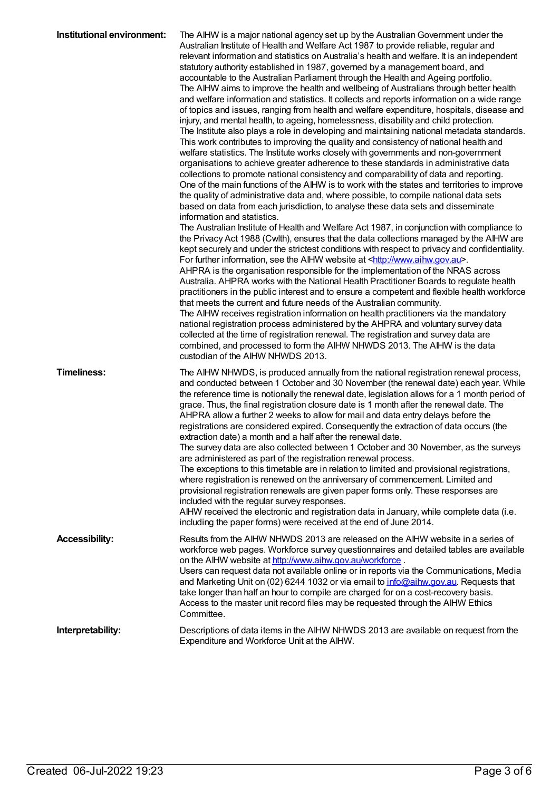| Institutional environment: | The AIHW is a major national agency set up by the Australian Government under the<br>Australian Institute of Health and Welfare Act 1987 to provide reliable, regular and<br>relevant information and statistics on Australia's health and welfare. It is an independent<br>statutory authority established in 1987, governed by a management board, and<br>accountable to the Australian Parliament through the Health and Ageing portfolio.<br>The AIHW aims to improve the health and wellbeing of Australians through better health<br>and welfare information and statistics. It collects and reports information on a wide range<br>of topics and issues, ranging from health and welfare expenditure, hospitals, disease and<br>injury, and mental health, to ageing, homelessness, disability and child protection.<br>The Institute also plays a role in developing and maintaining national metadata standards.<br>This work contributes to improving the quality and consistency of national health and<br>welfare statistics. The Institute works closely with governments and non-government<br>organisations to achieve greater adherence to these standards in administrative data<br>collections to promote national consistency and comparability of data and reporting.<br>One of the main functions of the AIHW is to work with the states and territories to improve<br>the quality of administrative data and, where possible, to compile national data sets<br>based on data from each jurisdiction, to analyse these data sets and disseminate<br>information and statistics.<br>The Australian Institute of Health and Welfare Act 1987, in conjunction with compliance to<br>the Privacy Act 1988 (Cwlth), ensures that the data collections managed by the AIHW are<br>kept securely and under the strictest conditions with respect to privacy and confidentiality.<br>For further information, see the AIHW website at <http: www.aihw.gov.au="">.<br/>AHPRA is the organisation responsible for the implementation of the NRAS across<br/>Australia. AHPRA works with the National Health Practitioner Boards to regulate health<br/>practitioners in the public interest and to ensure a competent and flexible health workforce<br/>that meets the current and future needs of the Australian community.<br/>The AIHW receives registration information on health practitioners via the mandatory<br/>national registration process administered by the AHPRA and voluntary survey data<br/>collected at the time of registration renewal. The registration and survey data are<br/>combined, and processed to form the AIHW NHWDS 2013. The AIHW is the data<br/>custodian of the AIHW NHWDS 2013.</http:> |
|----------------------------|--------------------------------------------------------------------------------------------------------------------------------------------------------------------------------------------------------------------------------------------------------------------------------------------------------------------------------------------------------------------------------------------------------------------------------------------------------------------------------------------------------------------------------------------------------------------------------------------------------------------------------------------------------------------------------------------------------------------------------------------------------------------------------------------------------------------------------------------------------------------------------------------------------------------------------------------------------------------------------------------------------------------------------------------------------------------------------------------------------------------------------------------------------------------------------------------------------------------------------------------------------------------------------------------------------------------------------------------------------------------------------------------------------------------------------------------------------------------------------------------------------------------------------------------------------------------------------------------------------------------------------------------------------------------------------------------------------------------------------------------------------------------------------------------------------------------------------------------------------------------------------------------------------------------------------------------------------------------------------------------------------------------------------------------------------------------------------------------------------------------------------------------------------------------------------------------------------------------------------------------------------------------------------------------------------------------------------------------------------------------------------------------------------------------------------------------------------------------------------------------------------------------------------------------------------------------------------------------------------------------------------------------------------------------------------------------------------------------------------------------|
| <b>Timeliness:</b>         | The AIHW NHWDS, is produced annually from the national registration renewal process,<br>and conducted between 1 October and 30 November (the renewal date) each year. While<br>the reference time is notionally the renewal date, legislation allows for a 1 month period of<br>grace. Thus, the final registration closure date is 1 month after the renewal date. The<br>AHPRA allow a further 2 weeks to allow for mail and data entry delays before the<br>registrations are considered expired. Consequently the extraction of data occurs (the<br>extraction date) a month and a half after the renewal date.<br>The survey data are also collected between 1 October and 30 November, as the surveys<br>are administered as part of the registration renewal process.<br>The exceptions to this timetable are in relation to limited and provisional registrations,<br>where registration is renewed on the anniversary of commencement. Limited and<br>provisional registration renewals are given paper forms only. These responses are<br>included with the regular survey responses.<br>AIHW received the electronic and registration data in January, while complete data (i.e.<br>including the paper forms) were received at the end of June 2014.                                                                                                                                                                                                                                                                                                                                                                                                                                                                                                                                                                                                                                                                                                                                                                                                                                                                                                                                                                                                                                                                                                                                                                                                                                                                                                                                                                                                                                                                           |
| <b>Accessibility:</b>      | Results from the AIHW NHWDS 2013 are released on the AIHW website in a series of<br>workforce web pages. Workforce survey questionnaires and detailed tables are available<br>on the AIHW website at http://www.aihw.gov.au/workforce.<br>Users can request data not available online or in reports via the Communications, Media<br>and Marketing Unit on (02) 6244 1032 or via email to info@aihw.gov.au. Requests that<br>take longer than half an hour to compile are charged for on a cost-recovery basis.<br>Access to the master unit record files may be requested through the AIHW Ethics<br>Committee.                                                                                                                                                                                                                                                                                                                                                                                                                                                                                                                                                                                                                                                                                                                                                                                                                                                                                                                                                                                                                                                                                                                                                                                                                                                                                                                                                                                                                                                                                                                                                                                                                                                                                                                                                                                                                                                                                                                                                                                                                                                                                                                           |
| Interpretability:          | Descriptions of data items in the AIHW NHWDS 2013 are available on request from the<br>Expenditure and Workforce Unit at the AIHW.                                                                                                                                                                                                                                                                                                                                                                                                                                                                                                                                                                                                                                                                                                                                                                                                                                                                                                                                                                                                                                                                                                                                                                                                                                                                                                                                                                                                                                                                                                                                                                                                                                                                                                                                                                                                                                                                                                                                                                                                                                                                                                                                                                                                                                                                                                                                                                                                                                                                                                                                                                                                         |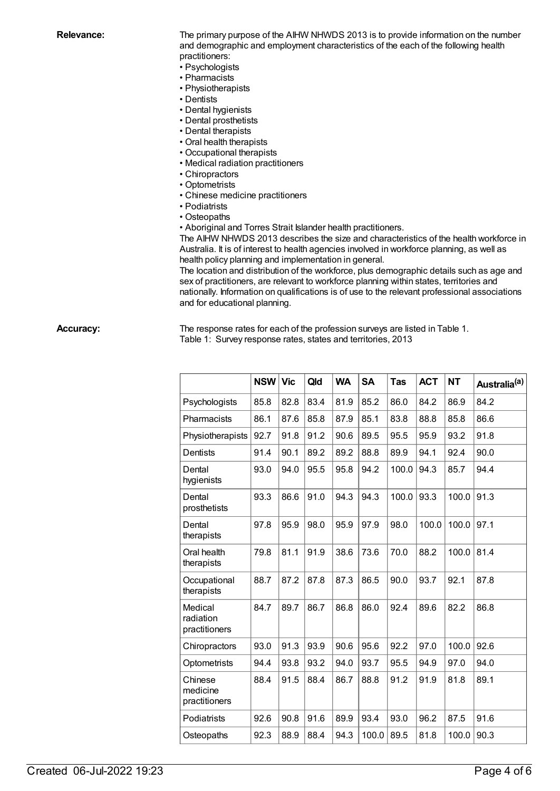**Relevance:** The primary purpose of the AIHW NHWDS 2013 is to provide information on the number and demographic and employment characteristics of the each of the following health practitioners:

- Psychologists
- Pharmacists
- Physiotherapists
- Dentists
- Dental hygienists
- Dental prosthetists
- Dental therapists
- Oral health therapists
- Occupational therapists
- Medical radiation practitioners
- Chiropractors
- Optometrists
- Chinese medicine practitioners
- Podiatrists
- Osteopaths
- Aboriginal and Torres Strait Islander health practitioners.

The AIHW NHWDS 2013 describes the size and characteristics of the health workforce in Australia. It is of interest to health agencies involved in workforce planning, as well as health policy planning and implementation in general.

The location and distribution of the workforce, plus demographic details such as age and sex of practitioners, are relevant to workforce planning within states, territories and nationally. Information on qualifications is of use to the relevant professional associations and for educational planning.

**Accuracy:** The response rates for each of the profession surveys are listed in Table 1. Table 1: Survey response rates, states and territories, 2013

|                                       | <b>NSW</b> | <b>Vic</b> | Qld  | <b>WA</b> | <b>SA</b> | <b>Tas</b> | <b>ACT</b> | <b>NT</b> | Australia <sup>(a)</sup> |
|---------------------------------------|------------|------------|------|-----------|-----------|------------|------------|-----------|--------------------------|
| Psychologists                         | 85.8       | 82.8       | 83.4 | 81.9      | 85.2      | 86.0       | 84.2       | 86.9      | 84.2                     |
| Pharmacists                           | 86.1       | 87.6       | 85.8 | 87.9      | 85.1      | 83.8       | 88.8       | 85.8      | 86.6                     |
| Physiotherapists                      | 92.7       | 91.8       | 91.2 | 90.6      | 89.5      | 95.5       | 95.9       | 93.2      | 91.8                     |
| Dentists                              | 91.4       | 90.1       | 89.2 | 89.2      | 88.8      | 89.9       | 94.1       | 92.4      | 90.0                     |
| Dental<br>hygienists                  | 93.0       | 94.0       | 95.5 | 95.8      | 94.2      | 100.0      | 94.3       | 85.7      | 94.4                     |
| Dental<br>prosthetists                | 93.3       | 86.6       | 91.0 | 94.3      | 94.3      | 100.0      | 93.3       | 100.0     | 91.3                     |
| Dental<br>therapists                  | 97.8       | 95.9       | 98.0 | 95.9      | 97.9      | 98.0       | 100.0      | 100.0     | 97.1                     |
| Oral health<br>therapists             | 79.8       | 81.1       | 91.9 | 38.6      | 73.6      | 70.0       | 88.2       | 100.0     | 81.4                     |
| Occupational<br>therapists            | 88.7       | 87.2       | 87.8 | 87.3      | 86.5      | 90.0       | 93.7       | 92.1      | 87.8                     |
| Medical<br>radiation<br>practitioners | 84.7       | 89.7       | 86.7 | 86.8      | 86.0      | 92.4       | 89.6       | 82.2      | 86.8                     |
| Chiropractors                         | 93.0       | 91.3       | 93.9 | 90.6      | 95.6      | 92.2       | 97.0       | 100.0     | 92.6                     |
| Optometrists                          | 94.4       | 93.8       | 93.2 | 94.0      | 93.7      | 95.5       | 94.9       | 97.0      | 94.0                     |
| Chinese<br>medicine<br>practitioners  | 88.4       | 91.5       | 88.4 | 86.7      | 88.8      | 91.2       | 91.9       | 81.8      | 89.1                     |
| Podiatrists                           | 92.6       | 90.8       | 91.6 | 89.9      | 93.4      | 93.0       | 96.2       | 87.5      | 91.6                     |
| Osteopaths                            | 92.3       | 88.9       | 88.4 | 94.3      | 100.0     | 89.5       | 81.8       | 100.0     | 90.3                     |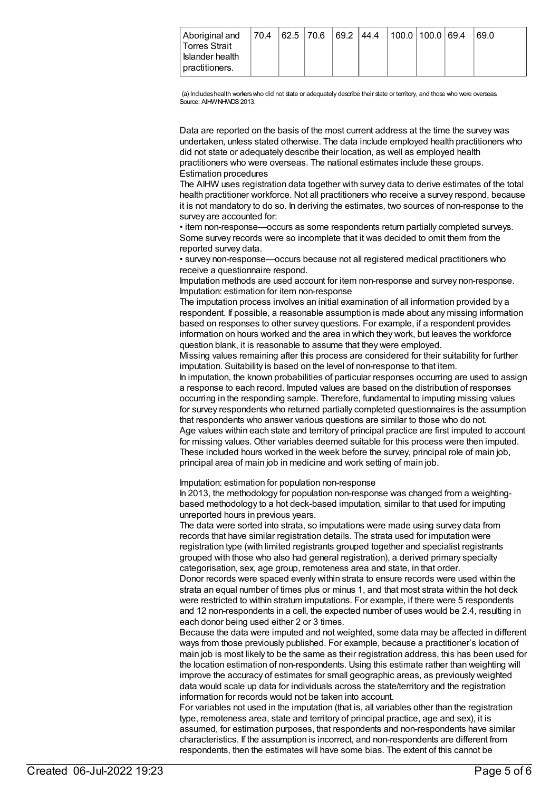(a) Includes health workers who did not state or adequately describe their state or territory, and those who were overseas. Source: AIHWNHMDS 2013.

Data are reported on the basis of the most current address at the time the survey was undertaken, unless stated otherwise. The data include employed health practitioners who did not state or adequately describe their location, as well as employed health practitioners who were overseas. The national estimates include these groups. Estimation procedures

The AIHW uses registration data together with survey data to derive estimates of the total health practitioner workforce. Not all practitioners who receive a survey respond, because it is not mandatory to do so. In deriving the estimates, two sources of non-response to the survey are accounted for:

• item non-response—occurs as some respondents return partially completed surveys. Some survey records were so incomplete that it was decided to omit them from the reported survey data.

• survey non-response—occurs because not all registered medical practitioners who receive a questionnaire respond.

Imputation methods are used account for item non-response and survey non-response. Imputation: estimation for item non-response

The imputation process involves an initial examination of all information provided by a respondent. If possible, a reasonable assumption is made about any missing information based on responses to other survey questions. For example, if a respondent provides information on hours worked and the area in which they work, but leaves the workforce question blank, it is reasonable to assume that they were employed.

Missing values remaining after this process are considered for their suitability for further imputation. Suitability is based on the level of non-response to that item.

In imputation, the known probabilities of particular responses occurring are used to assign a response to each record. Imputed values are based on the distribution of responses occurring in the responding sample. Therefore, fundamental to imputing missing values for survey respondents who returned partially completed questionnaires is the assumption that respondents who answer various questions are similar to those who do not. Age values within each state and territory of principal practice are first imputed to account for missing values. Other variables deemed suitable for this process were then imputed. These included hours worked in the week before the survey, principal role of main job, principal area of main job in medicine and work setting of main job.

Imputation: estimation for population non-response

In 2013, the methodology for population non-response was changed from a weightingbased methodology to a hot deck-based imputation, similar to that used for imputing unreported hours in previous years.

The data were sorted into strata, so imputations were made using survey data from records that have similar registration details. The strata used for imputation were registration type (with limited registrants grouped together and specialist registrants grouped with those who also had general registration), a derived primary specialty categorisation, sex, age group, remoteness area and state, in that order.

Donor records were spaced evenly within strata to ensure records were used within the strata an equal number of times plus or minus 1, and that most strata within the hot deck were restricted to within stratum imputations. For example, if there were 5 respondents and 12 non-respondents in a cell, the expected number of uses would be 2.4, resulting in each donor being used either 2 or 3 times.

Because the data were imputed and not weighted, some data may be affected in different ways from those previously published. For example, because a practitioner's location of main job is most likely to be the same as their registration address, this has been used for the location estimation of non-respondents. Using this estimate rather than weighting will improve the accuracy of estimates for small geographic areas, as previously weighted data would scale up data for individuals across the state/territory and the registration information for records would not be taken into account.

For variables not used in the imputation (that is, all variables other than the registration type, remoteness area, state and territory of principal practice, age and sex), it is assumed, for estimation purposes, that respondents and non-respondents have similar characteristics. If the assumption is incorrect, and non-respondents are different from respondents, then the estimates will have some bias. The extent of this cannot be